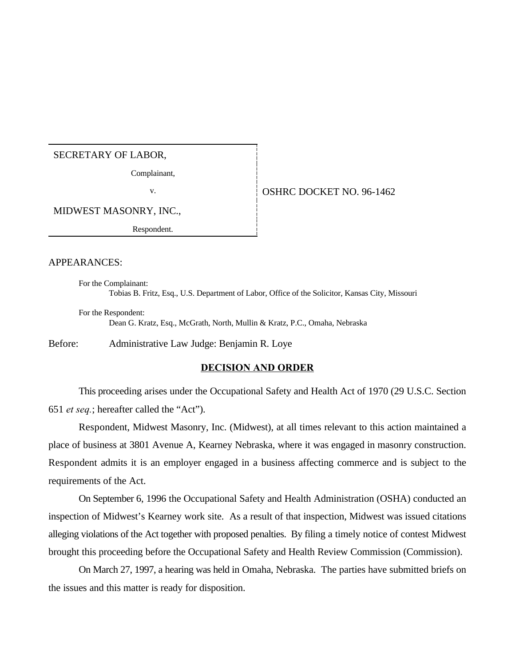# SECRETARY OF LABOR,

Complainant,

# v. 6 0SHRC DOCKET NO. 96-1462

MIDWEST MASONRY, INC.,

Respondent.

#### APPEARANCES:

For the Complainant: Tobias B. Fritz, Esq., U.S. Department of Labor, Office of the Solicitor, Kansas City, Missouri

For the Respondent: Dean G. Kratz, Esq., McGrath, North, Mullin & Kratz, P.C., Omaha, Nebraska

Before: Administrative Law Judge: Benjamin R. Loye

#### **DECISION AND ORDER**

This proceeding arises under the Occupational Safety and Health Act of 1970 (29 U.S.C. Section 651 *et seq.*; hereafter called the "Act").

Respondent, Midwest Masonry, Inc. (Midwest), at all times relevant to this action maintained a place of business at 3801 Avenue A, Kearney Nebraska, where it was engaged in masonry construction. Respondent admits it is an employer engaged in a business affecting commerce and is subject to the requirements of the Act.

On September 6, 1996 the Occupational Safety and Health Administration (OSHA) conducted an inspection of Midwest's Kearney work site. As a result of that inspection, Midwest was issued citations alleging violations of the Act together with proposed penalties. By filing a timely notice of contest Midwest brought this proceeding before the Occupational Safety and Health Review Commission (Commission).

On March 27, 1997, a hearing was held in Omaha, Nebraska. The parties have submitted briefs on the issues and this matter is ready for disposition.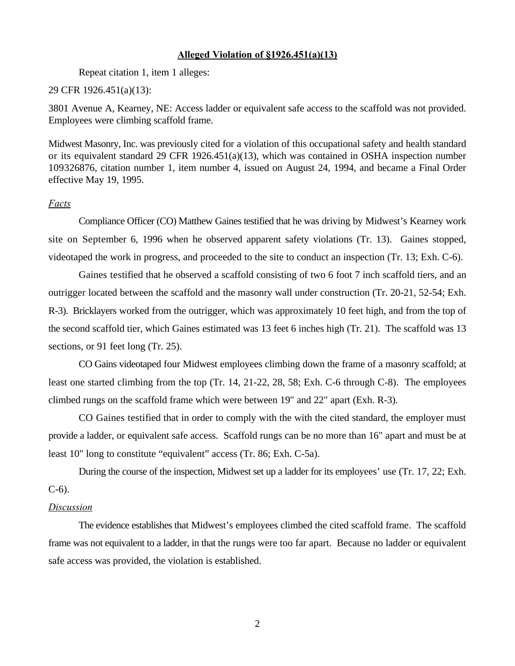### **Alleged Violation of §1926.451(a)(13)**

Repeat citation 1, item 1 alleges:

### 29 CFR 1926.451(a)(13):

3801 Avenue A, Kearney, NE: Access ladder or equivalent safe access to the scaffold was not provided. Employees were climbing scaffold frame.

Midwest Masonry, Inc. was previously cited for a violation of this occupational safety and health standard or its equivalent standard 29 CFR 1926.451(a)(13), which was contained in OSHA inspection number 109326876, citation number 1, item number 4, issued on August 24, 1994, and became a Final Order effective May 19, 1995.

# *Facts*

Compliance Officer (CO) Matthew Gaines testified that he was driving by Midwest's Kearney work site on September 6, 1996 when he observed apparent safety violations (Tr. 13). Gaines stopped, videotaped the work in progress, and proceeded to the site to conduct an inspection (Tr. 13; Exh. C-6).

Gaines testified that he observed a scaffold consisting of two 6 foot 7 inch scaffold tiers, and an outrigger located between the scaffold and the masonry wall under construction (Tr. 20-21, 52-54; Exh. R-3). Bricklayers worked from the outrigger, which was approximately 10 feet high, and from the top of the second scaffold tier, which Gaines estimated was 13 feet 6 inches high (Tr. 21). The scaffold was 13 sections, or 91 feet long (Tr. 25).

CO Gains videotaped four Midwest employees climbing down the frame of a masonry scaffold; at least one started climbing from the top (Tr. 14, 21-22, 28, 58; Exh. C-6 through C-8). The employees climbed rungs on the scaffold frame which were between 19" and 22" apart (Exh. R-3).

CO Gaines testified that in order to comply with the with the cited standard, the employer must provide a ladder, or equivalent safe access. Scaffold rungs can be no more than 16" apart and must be at least 10" long to constitute "equivalent" access (Tr. 86; Exh. C-5a).

During the course of the inspection, Midwest set up a ladder for its employees' use (Tr. 17, 22; Exh. C-6).

### *Discussion*

The evidence establishes that Midwest's employees climbed the cited scaffold frame. The scaffold frame was not equivalent to a ladder, in that the rungs were too far apart. Because no ladder or equivalent safe access was provided, the violation is established.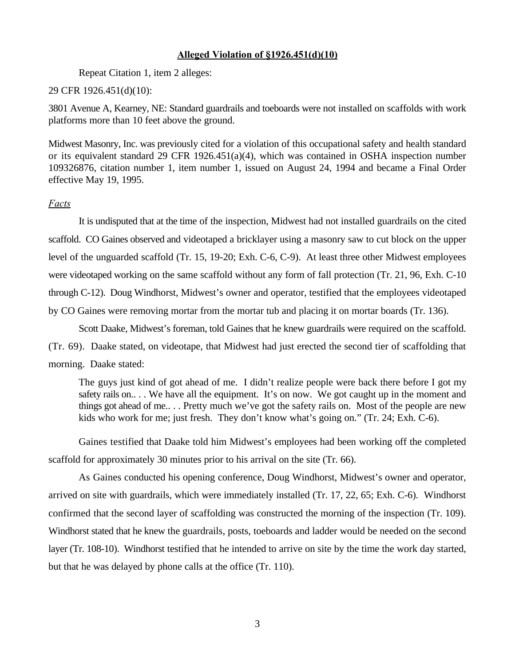# **Alleged Violation of §1926.451(d)(10)**

Repeat Citation 1, item 2 alleges:

# 29 CFR 1926.451(d)(10):

3801 Avenue A, Kearney, NE: Standard guardrails and toeboards were not installed on scaffolds with work platforms more than 10 feet above the ground.

Midwest Masonry, Inc. was previously cited for a violation of this occupational safety and health standard or its equivalent standard 29 CFR 1926.451(a)(4), which was contained in OSHA inspection number 109326876, citation number 1, item number 1, issued on August 24, 1994 and became a Final Order effective May 19, 1995.

# *Facts*

It is undisputed that at the time of the inspection, Midwest had not installed guardrails on the cited scaffold. CO Gaines observed and videotaped a bricklayer using a masonry saw to cut block on the upper level of the unguarded scaffold (Tr. 15, 19-20; Exh. C-6, C-9). At least three other Midwest employees were videotaped working on the same scaffold without any form of fall protection (Tr. 21, 96, Exh. C-10 through C-12). Doug Windhorst, Midwest's owner and operator, testified that the employees videotaped by CO Gaines were removing mortar from the mortar tub and placing it on mortar boards (Tr. 136).

Scott Daake, Midwest's foreman, told Gaines that he knew guardrails were required on the scaffold.

(Tr. 69). Daake stated, on videotape, that Midwest had just erected the second tier of scaffolding that morning. Daake stated:

The guys just kind of got ahead of me. I didn't realize people were back there before I got my safety rails on.. . . We have all the equipment. It's on now. We got caught up in the moment and things got ahead of me.. . . Pretty much we've got the safety rails on. Most of the people are new kids who work for me; just fresh. They don't know what's going on." (Tr. 24; Exh. C-6).

Gaines testified that Daake told him Midwest's employees had been working off the completed scaffold for approximately 30 minutes prior to his arrival on the site (Tr. 66).

As Gaines conducted his opening conference, Doug Windhorst, Midwest's owner and operator, arrived on site with guardrails, which were immediately installed (Tr. 17, 22, 65; Exh. C-6). Windhorst confirmed that the second layer of scaffolding was constructed the morning of the inspection (Tr. 109). Windhorst stated that he knew the guardrails, posts, toeboards and ladder would be needed on the second layer (Tr. 108-10). Windhorst testified that he intended to arrive on site by the time the work day started, but that he was delayed by phone calls at the office (Tr. 110).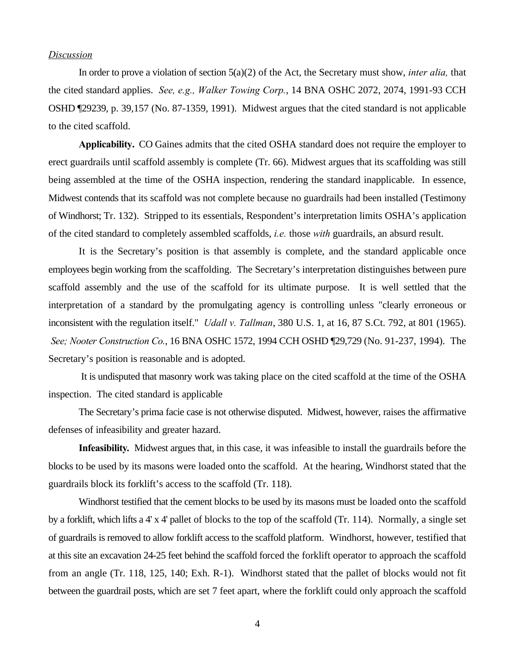### *Discussion*

In order to prove a violation of section 5(a)(2) of the Act, the Secretary must show, *inter alia,* that the cited standard applies. *See, e.g., Walker Towing Corp.*, 14 BNA OSHC 2072, 2074, 1991-93 CCH OSHD ¶29239, p. 39,157 (No. 87-1359, 1991). Midwest argues that the cited standard is not applicable to the cited scaffold.

**Applicability.** CO Gaines admits that the cited OSHA standard does not require the employer to erect guardrails until scaffold assembly is complete (Tr. 66). Midwest argues that its scaffolding was still being assembled at the time of the OSHA inspection, rendering the standard inapplicable. In essence, Midwest contends that its scaffold was not complete because no guardrails had been installed (Testimony of Windhorst; Tr. 132). Stripped to its essentials, Respondent's interpretation limits OSHA's application of the cited standard to completely assembled scaffolds, *i.e.* those *with* guardrails, an absurd result.

It is the Secretary's position is that assembly is complete, and the standard applicable once employees begin working from the scaffolding. The Secretary's interpretation distinguishes between pure scaffold assembly and the use of the scaffold for its ultimate purpose. It is well settled that the interpretation of a standard by the promulgating agency is controlling unless "clearly erroneous or inconsistent with the regulation itself." *Udall v. Tallman*, 380 U.S. 1, at 16, 87 S.Ct. 792, at 801 (1965). *See; Nooter Construction Co.*, 16 BNA OSHC 1572, 1994 CCH OSHD ¶29,729 (No. 91-237, 1994). The Secretary's position is reasonable and is adopted.

 It is undisputed that masonry work was taking place on the cited scaffold at the time of the OSHA inspection. The cited standard is applicable

The Secretary's prima facie case is not otherwise disputed. Midwest, however, raises the affirmative defenses of infeasibility and greater hazard.

**Infeasibility***.* Midwest argues that, in this case, it was infeasible to install the guardrails before the blocks to be used by its masons were loaded onto the scaffold. At the hearing, Windhorst stated that the guardrails block its forklift's access to the scaffold (Tr. 118).

Windhorst testified that the cement blocks to be used by its masons must be loaded onto the scaffold by a forklift, which lifts a 4' x 4' pallet of blocks to the top of the scaffold (Tr. 114). Normally, a single set of guardrails is removed to allow forklift access to the scaffold platform. Windhorst, however, testified that at this site an excavation 24-25 feet behind the scaffold forced the forklift operator to approach the scaffold from an angle (Tr. 118, 125, 140; Exh. R-1). Windhorst stated that the pallet of blocks would not fit between the guardrail posts, which are set 7 feet apart, where the forklift could only approach the scaffold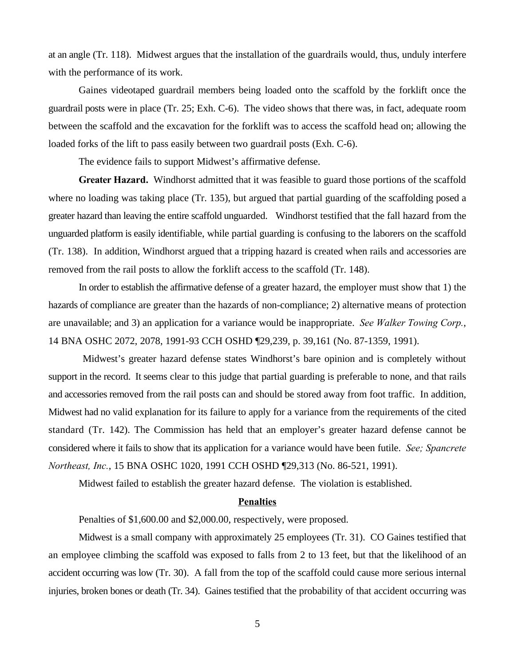at an angle (Tr. 118). Midwest argues that the installation of the guardrails would, thus, unduly interfere with the performance of its work.

Gaines videotaped guardrail members being loaded onto the scaffold by the forklift once the guardrail posts were in place (Tr. 25; Exh. C-6). The video shows that there was, in fact, adequate room between the scaffold and the excavation for the forklift was to access the scaffold head on; allowing the loaded forks of the lift to pass easily between two guardrail posts (Exh. C-6).

The evidence fails to support Midwest's affirmative defense.

**Greater Hazard.** Windhorst admitted that it was feasible to guard those portions of the scaffold where no loading was taking place (Tr. 135), but argued that partial guarding of the scaffolding posed a greater hazard than leaving the entire scaffold unguarded. Windhorst testified that the fall hazard from the unguarded platform is easily identifiable, while partial guarding is confusing to the laborers on the scaffold (Tr. 138). In addition, Windhorst argued that a tripping hazard is created when rails and accessories are removed from the rail posts to allow the forklift access to the scaffold (Tr. 148).

In order to establish the affirmative defense of a greater hazard, the employer must show that 1) the hazards of compliance are greater than the hazards of non-compliance; 2) alternative means of protection are unavailable; and 3) an application for a variance would be inappropriate. *See Walker Towing Corp.*, 14 BNA OSHC 2072, 2078, 1991-93 CCH OSHD ¶29,239, p. 39,161 (No. 87-1359, 1991).

 Midwest's greater hazard defense states Windhorst's bare opinion and is completely without support in the record. It seems clear to this judge that partial guarding is preferable to none, and that rails and accessories removed from the rail posts can and should be stored away from foot traffic. In addition, Midwest had no valid explanation for its failure to apply for a variance from the requirements of the cited standard (Tr. 142). The Commission has held that an employer's greater hazard defense cannot be considered where it fails to show that its application for a variance would have been futile. *See; Spancrete Northeast, Inc.*, 15 BNA OSHC 1020, 1991 CCH OSHD ¶29,313 (No. 86-521, 1991).

Midwest failed to establish the greater hazard defense. The violation is established.

#### **Penalties**

Penalties of \$1,600.00 and \$2,000.00, respectively, were proposed.

Midwest is a small company with approximately 25 employees (Tr. 31). CO Gaines testified that an employee climbing the scaffold was exposed to falls from 2 to 13 feet, but that the likelihood of an accident occurring was low (Tr. 30). A fall from the top of the scaffold could cause more serious internal injuries, broken bones or death (Tr. 34). Gaines testified that the probability of that accident occurring was